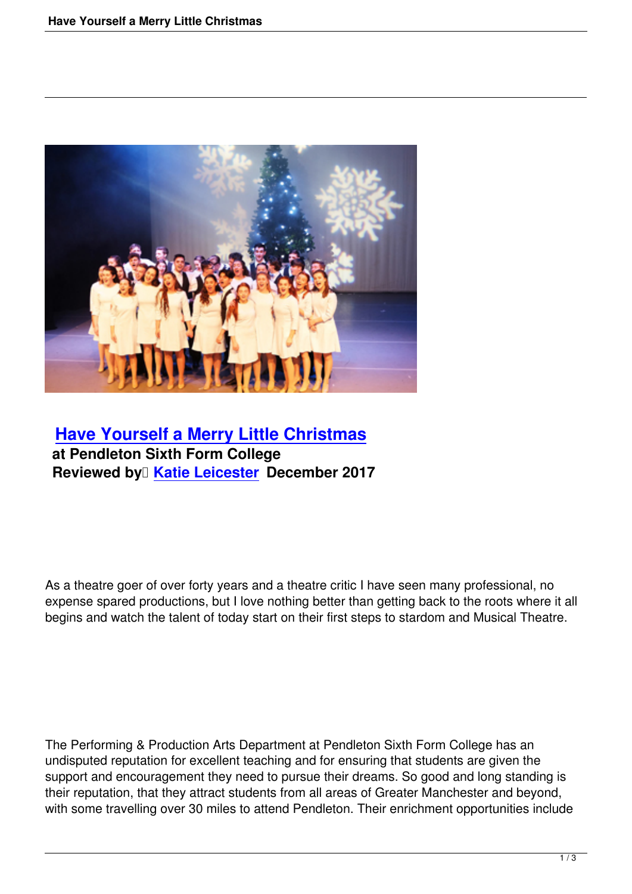

## **Have Yourself a Merry Little Christmas at Pendleton Sixth Form College Reviewed by <del>Katie</del> Leicester December 2017**

As a theatre goer of over forty years and a theatre critic I have seen many professional, no expense spared productions, but I love nothing better than getting back to the roots where it all begins and watch the talent of today start on their first steps to stardom and Musical Theatre.

The Performing & Production Arts Department at Pendleton Sixth Form College has an undisputed reputation for excellent teaching and for ensuring that students are given the support and encouragement they need to pursue their dreams. So good and long standing is their reputation, that they attract students from all areas of Greater Manchester and beyond, with some travelling over 30 miles to attend Pendleton. Their enrichment opportunities include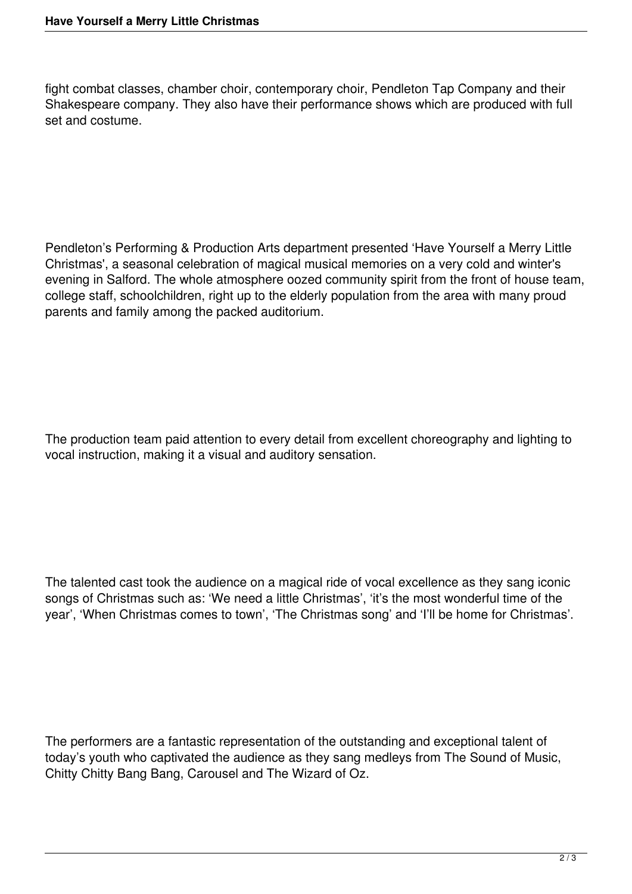fight combat classes, chamber choir, contemporary choir, Pendleton Tap Company and their Shakespeare company. They also have their performance shows which are produced with full set and costume.

Pendleton's Performing & Production Arts department presented 'Have Yourself a Merry Little Christmas', a seasonal celebration of magical musical memories on a very cold and winter's evening in Salford. The whole atmosphere oozed community spirit from the front of house team, college staff, schoolchildren, right up to the elderly population from the area with many proud parents and family among the packed auditorium.

The production team paid attention to every detail from excellent choreography and lighting to vocal instruction, making it a visual and auditory sensation.

The talented cast took the audience on a magical ride of vocal excellence as they sang iconic songs of Christmas such as: 'We need a little Christmas', 'it's the most wonderful time of the year', 'When Christmas comes to town', 'The Christmas song' and 'I'll be home for Christmas'.

The performers are a fantastic representation of the outstanding and exceptional talent of today's youth who captivated the audience as they sang medleys from The Sound of Music, Chitty Chitty Bang Bang, Carousel and The Wizard of Oz.